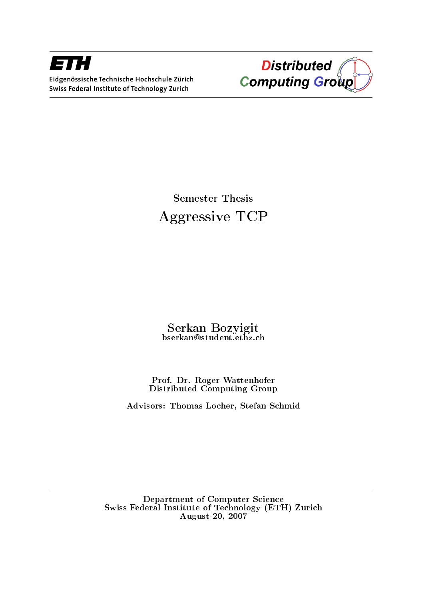



Semester Thesis Aggressive TCP

Serkan Bozyigit bserkan@student.ethz.ch

Prof. Dr. Roger Wattenhofer Distributed Computing Group

Advisors: Thomas Locher, Stefan Schmid

Department of Computer Science Swiss Federal Institute of Technology (ETH) Zurich August 20, 2007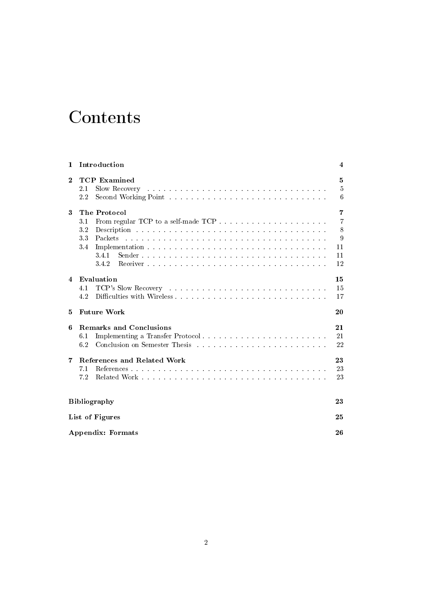# **Contents**

| 1                      | Introduction                                                                                                             | 4                        |  |  |  |  |  |
|------------------------|--------------------------------------------------------------------------------------------------------------------------|--------------------------|--|--|--|--|--|
| $\bf{2}$               | <b>TCP</b> Examined<br>Slow Recovery<br>2.1<br>2.2                                                                       | 5<br>$\overline{5}$<br>6 |  |  |  |  |  |
| 3                      | The Protocol                                                                                                             | $\overline{7}$           |  |  |  |  |  |
|                        | $3.1\,$                                                                                                                  | $\overline{7}$           |  |  |  |  |  |
|                        | $3.2\,$                                                                                                                  | 8                        |  |  |  |  |  |
|                        | 33<br>Packets                                                                                                            | 9                        |  |  |  |  |  |
|                        | 3.4                                                                                                                      | 11                       |  |  |  |  |  |
|                        | 34.1                                                                                                                     | 11                       |  |  |  |  |  |
|                        | 3.4.2                                                                                                                    | 12                       |  |  |  |  |  |
| $\boldsymbol{\Lambda}$ | Evaluation                                                                                                               | 15                       |  |  |  |  |  |
|                        | 4.1                                                                                                                      | 15                       |  |  |  |  |  |
|                        | 4.2                                                                                                                      | 17                       |  |  |  |  |  |
| 5                      | <b>Future Work</b>                                                                                                       | 20                       |  |  |  |  |  |
| 6                      | <b>Remarks and Conclusions</b>                                                                                           | 21                       |  |  |  |  |  |
|                        | 6.1                                                                                                                      | 21                       |  |  |  |  |  |
|                        | 6.2<br>Conclusion on Semester Thesis entering the service of the service of the Semester of the Semester of the Semester | 22                       |  |  |  |  |  |
| 7                      | References and Related Work                                                                                              | 23                       |  |  |  |  |  |
|                        | 7.1                                                                                                                      | 23                       |  |  |  |  |  |
|                        | 72                                                                                                                       | 23                       |  |  |  |  |  |
|                        | <b>Bibliography</b>                                                                                                      | 23                       |  |  |  |  |  |
|                        | List of Figures                                                                                                          | 25                       |  |  |  |  |  |
|                        | <b>Appendix: Formats</b><br>26                                                                                           |                          |  |  |  |  |  |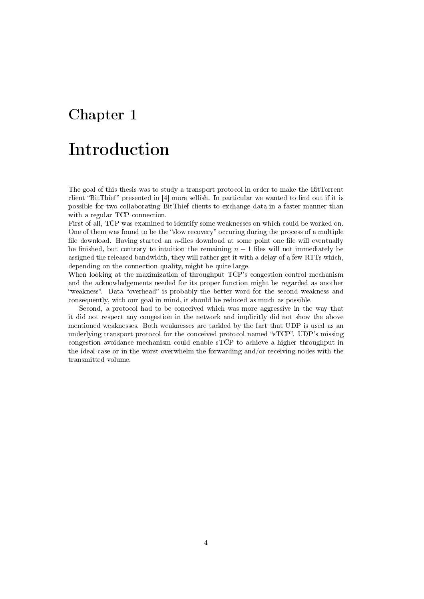# Introduction

The goal of this thesis was to study a transport protocol in order to make the BitTorrent client "BitThief" presented in  $[4]$  more selfish. In particular we wanted to find out if it is possible for two collaborating BitThief clients to exchange data in a faster manner than with a regular TCP connection.

First of all, TCP was examined to identify some weaknesses on which could be worked on. One of them was found to be the "slow recovery" occuring during the process of a multiple file download. Having started an  $n$ -files download at some point one file will eventually be finished, but contrary to intuition the remaining  $n-1$  files will not immediately be assigned the released bandwidth, they will rather get it with a delay of a few RTTs which, depending on the connection quality, might be quite large.

When looking at the maximization of throughput TCP's congestion control mechanism and the acknowledgements needed for its proper function might be regarded as another "weakness". Data "overhead" is probably the better word for the second weakness and consequently, with our goal in mind, it should be reduced as much as possible.

Second, a protocol had to be conceived which was more aggressive in the way that it did not respect any congestion in the network and implicitly did not show the above mentioned weaknesses. Both weaknesses are tackled by the fact that UDP is used as an underlying transport protocol for the conceived protocol named "sTCP". UDP's missing congestion avoidance mechanism could enable sTCP to achieve a higher throughput in the ideal case or in the worst overwhelm the forwarding and/or receiving nodes with the transmitted volume.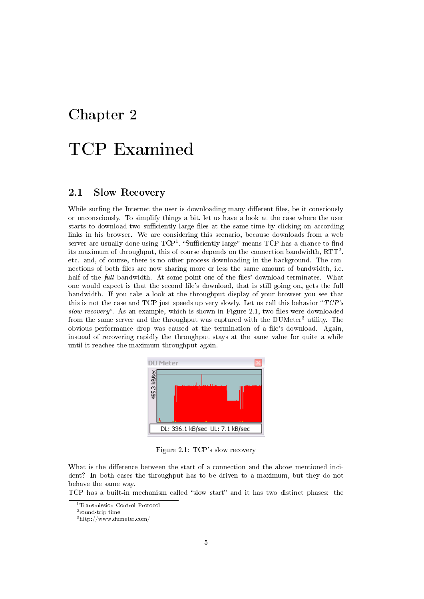# TCP Examined

### 2.1 Slow Recovery

While surfing the Internet the user is downloading many different files, be it consciously or unconsciously. To simplify things a bit, let us have a look at the case where the user starts to download two sufficiently large files at the same time by clicking on according links in his browser. We are considering this scenario, because downloads from a web server are usually done using  $\mathrm{TCP^1}$  . "Sufficiently large" means  $\mathrm{TCP}$  has a chance to find its maximum of throughput, this of course depends on the connection bandwidth,  $\operatorname{RTT}^2,$ etc. and, of course, there is no other process downloading in the background. The connections of both files are now sharing more or less the same amount of bandwidth, i.e. half of the *full* bandwidth. At some point one of the files' download terminates. What one would expect is that the second file's download, that is still going on, gets the full bandwidth. If you take a look at the throughput display of your browser you see that this is not the case and TCP just speeds up very slowly. Let us call this behavior " $TCP's$ slow recovery". As an example, which is shown in Figure 2.1, two files were downloaded from the same server and the throughput was captured with the DUMeter<sup>3</sup> utility. The obvious performance drop was caused at the termination of a le's download. Again, instead of recovering rapidly the throughput stays at the same value for quite a while until it reaches the maximum throughput again.



Figure 2.1: TCP's slow recovery

What is the difference between the start of a connection and the above mentioned incident? In both cases the throughput has to be driven to a maximum, but they do not behave the same way.

TCP has a built-in mechanism called "slow start" and it has two distinct phases: the

<sup>1</sup>Transmission Control Protocol

<sup>2</sup> round-trip time

<sup>3</sup>http://www.dumeter.com/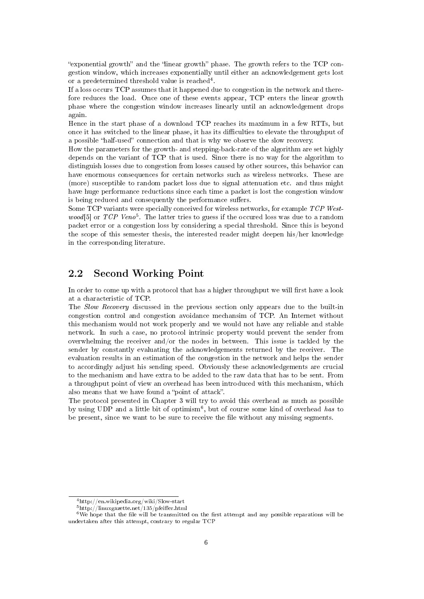"exponential growth" and the "linear growth" phase. The growth refers to the  $TCP$  congestion window, which increases exponentially until either an acknowledgement gets lost or a predetermined threshold value is reached<sup>4</sup>.

If a loss occurs TCP assumes that it happened due to congestion in the network and therefore reduces the load. Once one of these events appear, TCP enters the linear growth phase where the congestion window increases linearly until an acknowledgement drops again.

Hence in the start phase of a download TCP reaches its maximum in a few RTTs, but once it has switched to the linear phase, it has its difficulties to elevate the throughput of a possible "half-used" connection and that is why we observe the slow recovery.

How the parameters for the growth- and stepping-back-rate of the algorithm are set highly depends on the variant of TCP that is used. Since there is no way for the algorithm to distinguish losses due to congestion from losses caused by other sources, this behavior can have enormous consequences for certain networks such as wireless networks. These are (more) susceptible to random packet loss due to signal attenuation etc. and thus might have huge performance reductions since each time a packet is lost the congestion window is being reduced and consequently the performance suffers.

Some TCP variants were specially conceived for wireless networks, for example TCP Westwood<sup>[5]</sup> or TCP Veno<sup>5</sup>. The latter tries to guess if the occured loss was due to a random packet error or a congestion loss by considering a special threshold. Since this is beyond the scope of this semester thesis, the interested reader might deepen his/her knowledge in the corresponding literature.

### 2.2 Second Working Point

In order to come up with a protocol that has a higher throughput we will first have a look at a characteristic of TCP.

The Slow Recovery discussed in the previous section only appears due to the built-in congestion control and congestion avoidance mechansim of TCP. An Internet without this mechanism would not work properly and we would not have any reliable and stable network. In such a case, no protocol intrinsic property would prevent the sender from overwhelming the receiver and/or the nodes in between. This issue is tackled by the sender by constantly evaluating the acknowledgements returned by the receiver. The evaluation results in an estimation of the congestion in the network and helps the sender to accordingly adjust his sending speed. Obviously these acknowledgements are crucial to the mechanism and have extra to be added to the raw data that has to be sent. From a throughput point of view an overhead has been introduced with this mechanism, which also means that we have found a "point of attack".

The protocol presented in Chapter 3 will try to avoid this overhead as much as possible by using UDP and a little bit of optimism<sup>6</sup>, but of course some kind of overhead has to be present, since we want to be sure to receive the file without any missing segments.

<sup>4</sup>http://en.wikipedia.org/wiki/Slow-start

 $5$ http://linuxgazette.net/135/pfeiffer.html

 $6$ We hope that the file will be transmitted on the first attempt and any possible reparations will be undertaken after this attempt, contrary to regular TCP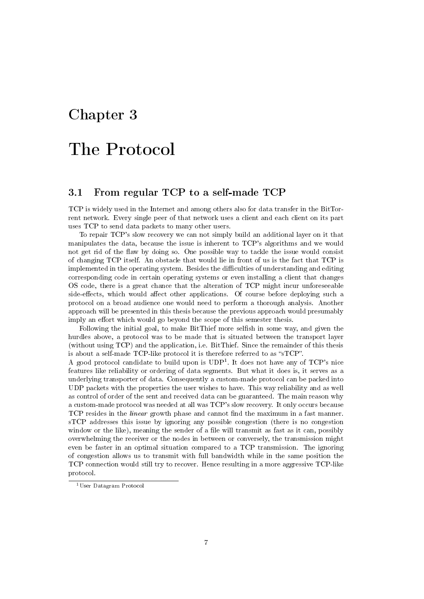# The Protocol

### 3.1 From regular TCP to a self-made TCP

TCP is widely used in the Internet and among others also for data transfer in the BitTorrent network. Every single peer of that network uses a client and each client on its part uses TCP to send data packets to many other users.

To repair TCP's slow recovery we can not simply build an additional layer on it that manipulates the data, because the issue is inherent to TCP's algorithms and we would not get rid of the flaw by doing so. One possible way to tackle the issue would consist of changing TCP itself. An obstacle that would lie in front of us is the fact that TCP is implemented in the operating system. Besides the difficulties of understanding and editing corresponding code in certain operating systems or even installing a client that changes OS code, there is a great chance that the alteration of TCP might incur unforeseeable side-effects, which would affect other applications. Of course before deploying such a protocol on a broad audience one would need to perform a thorough analysis. Another approach will be presented in this thesis because the previous approach would presumably imply an effort which would go beyond the scope of this semester thesis.

Following the initial goal, to make BitThief more selfish in some way, and given the hurdles above, a protocol was to be made that is situated between the transport layer (without using TCP) and the application, i.e. BitThief. Since the remainder of this thesis is about a self-made TCP-like protocol it is therefore referred to as "sTCP".

A good protocol candidate to build upon is UDP<sup>1</sup> . It does not have any of TCP's nice features like reliability or ordering of data segments. But what it does is, it serves as a underlying transporter of data. Consequently a custom-made protocol can be packed into UDP packets with the properties the user wishes to have. This way reliability and as well as control of order of the sent and received data can be guaranteed. The main reason why a custom-made protocol was needed at all was TCP's slow recovery. It only occurs because TCP resides in the *linear* growth phase and cannot find the maximum in a fast manner. sTCP addresses this issue by ignoring any possible congestion (there is no congestion window or the like), meaning the sender of a file will transmit as fast as it can, possibly overwhelming the receiver or the nodes in between or conversely, the transmission might even be faster in an optimal situation compared to a TCP transmission. The ignoring of congestion allows us to transmit with full bandwidth while in the same position the TCP connection would still try to recover. Hence resulting in a more aggressive TCP-like protocol.

<sup>1</sup>User Datagram Protocol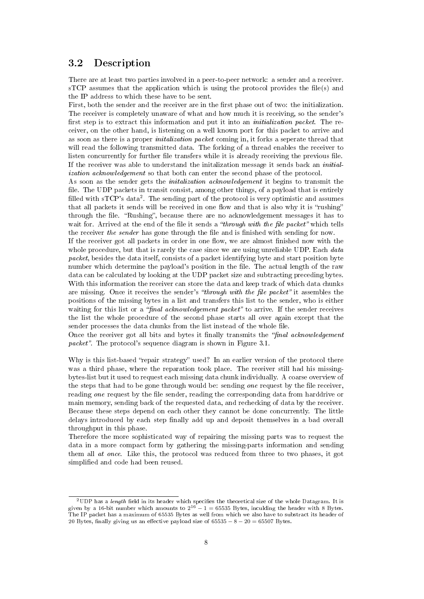### 3.2 Description

There are at least two parties involved in a peer-to-peer network: a sender and a receiver.  $\text{STCP}$  assumes that the application which is using the protocol provides the file(s) and the IP address to which these have to be sent.

First, both the sender and the receiver are in the first phase out of two: the initialization. The receiver is completely unaware of what and how much it is receiving, so the sender's first step is to extract this information and put it into an *initialization packet*. The receiver, on the other hand, is listening on a well known port for this packet to arrive and as soon as there is a proper initalization packet coming in, it forks a seperate thread that will read the following transmitted data. The forking of a thread enables the receiver to listen concurrently for further file transfers while it is already receiving the previous file. If the receiver was able to understand the initalization message it sends back an initialization acknowledgement so that both can enter the second phase of the protocol.

As soon as the sender gets the initalization acknowledgement it begins to transmit the file. The UDP packets in transit consist, among other things, of a payload that is entirely filled with sTCP's data<sup>2</sup>. The sending part of the protocol is very optimistic and assumes that all packets it sends will be received in one flow and that is also why it is "rushing" through the file. "Rushing", because there are no acknowledgement messages it has to wait for. Arrived at the end of the file it sends a "through with the file packet" which tells the receiver the sender has gone through the file and is finished with sending for now.

If the receiver got all packets in order in one flow, we are almost finished now with the whole procedure, but that is rarely the case since we are using unreliable UDP. Each data packet, besides the data itself, consists of a packet identifying byte and start position byte number which determine the payload's position in the file. The actual length of the raw data can be calculated by looking at the UDP packet size and subtracting preceding bytes. With this information the receiver can store the data and keep track of which data chunks are missing. Once it receives the sender's "through with the file packet" it assembles the positions of the missing bytes in a list and transfers this list to the sender, who is either waiting for this list or a "final acknowledgement packet" to arrive. If the sender receives the list the whole procedure of the second phase starts all over again except that the sender processes the data chunks from the list instead of the whole file.

Once the receiver got all bits and bytes it finally transmits the "final acknowledgement" *packet*". The protocol's sequence diagram is shown in Figure  $3.1$ .

Why is this list-based "repair strategy" used? In an earlier version of the protocol there was a third phase, where the reparation took place. The receiver still had his missingbytes-list but it used to request each missing data chunk individually. A coarse overview of the steps that had to be gone through would be: sending *one* request by the file receiver, reading one request by the file sender, reading the corresponding data from harddrive or main memory, sending back of the requested data, and rechecking of data by the receiver. Because these steps depend on each other they cannot be done concurrently. The little delays introduced by each step finally add up and deposit themselves in a bad overall throughput in this phase.

Therefore the more sophisticated way of repairing the missing parts was to request the data in a more compact form by gathering the missing-parts information and sending them all at once. Like this, the protocol was reduced from three to two phases, it got simplified and code had been reused.

 $^{2}$ UDP has a *length* field in its header which specifies the theoretical size of the whole Datagram. It is given by a 16-bit number which amounts to  $2^{16} - 1 = 65535$  Bytes, inculding the header with 8 Bytes. The IP packet has a maximum of 65535 Bytes as well from which we also have to substract its header of 20 Bytes, finally giving us an effective payload size of  $65535 - 8 - 20 = 65507$  Bytes.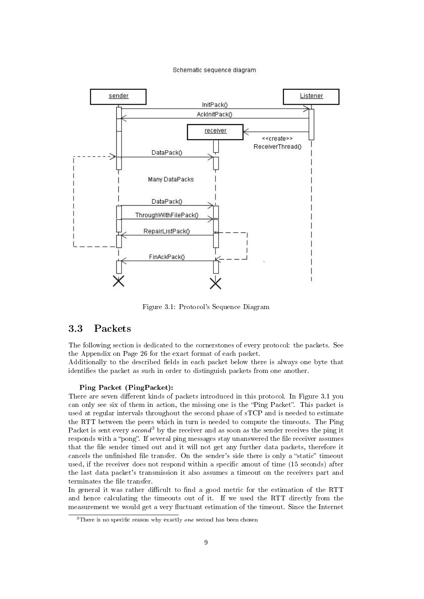#### Schematic sequence diagram



Figure 3.1: Protocol's Sequence Diagram

### 3.3 Packets

The following section is dedicated to the cornerstones of every protocol: the packets. See the Appendix on Page 26 for the exact format of each packet.

Additionally to the described fields in each packet below there is always one byte that identifies the packet as such in order to distinguish packets from one another.

#### Ping Packet (PingPacket):

There are seven different kinds of packets introduced in this protocol. In Figure 3.1 you can only see six of them in action, the missing one is the "Ping Packet". This packet is used at regular intervals throughout the second phase of sTCP and is needed to estimate the RTT between the peers which in turn is needed to compute the timeouts. The Ping Packet is sent every  $second^3$  by the receiver and as soon as the sender receives the ping it responds with a "pong". If several ping messages stay unanswered the file receiver assumes that the file sender timed out and it will not get any further data packets, therefore it cancels the unfinished file transfer. On the sender's side there is only a "static" timeout used, if the receiver does not respond within a specific amout of time (15 seconds) after the last data packet's transmission it also assumes a timeout on the receivers part and terminates the file transfer.

In general it was rather difficult to find a good metric for the estimation of the RTT and hence calculating the timeouts out of it. If we used the RTT directly from the measurement we would get a very fluctuant estimation of the timeout. Since the Internet

 $3$ There is no specific reason why exactly *one* second has been chosen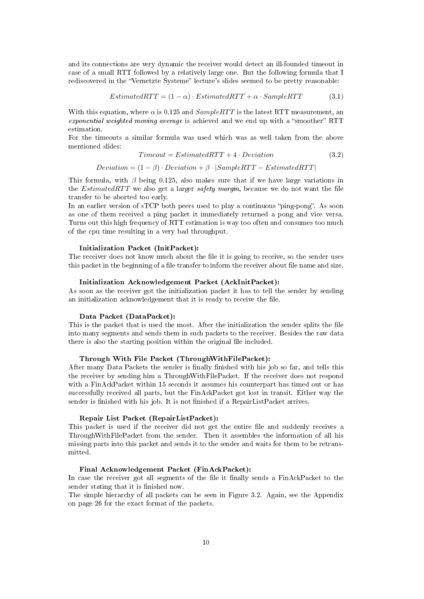and its connections are very dynamic the receiver would detect an ill-founded timeout in case of a small RTT followed by a relatively large one. But the following formula that I rediscovered in the "Vernetzte Systeme" lecture's slides seemed to be pretty reasonable:

$$
Estimated RTT = (1 - \alpha) \cdot Estimated RTT + \alpha \cdot SampleRTT \tag{3.1}
$$

With this equation, where  $\alpha$  is 0.125 and  $SampleRTT$  is the latest RTT measurement, an exponential weighted moving average is achieved and we end up with a "smoother" RTT estimation.

For the timeouts a similar formula was used which was as well taken from the above mentioned slides:

$$
Timeout = EstimatedRTT + 4 \cdot Deviation \qquad (3.2)
$$

 $Deviation = (1 - \beta) \cdot Deviation + \beta \cdot |SampleRTT - EstimatedRTT|$ 

This formula, with  $\beta$  being 0.125, also makes sure that if we have large variations in the *EstimatedRTT* we also get a larger *safety margin*, because we do not want the file transfer to be aborted too early.

In an earlier version of  $sTCP$  both peers used to play a continuous "ping-pong". As soon as one of them received a ping packet it immediately returned a pong and vice versa. Turns out this high frequency of RTT estimation is way too often and consumes too much of the cpu time resulting in a very bad throughput.

#### Initialization Packet (InitPacket):

The receiver does not know much about the file it is going to receive, so the sender uses this packet in the beginning of a file transfer to inform the receiver about file name and size.

#### Initialization Acknowledgement Packet (AckInitPacket):

As soon as the receiver got the initialization packet it has to tell the sender by sending an initialization acknowledgement that it is ready to receive the file.

#### Data Packet (DataPacket):

This is the packet that is used the most. After the initialization the sender splits the file into many segments and sends them in such packets to the receiver. Besides the raw data there is also the starting position within the original file included.

#### Through With File Packet (ThroughWithFilePacket):

After many Data Packets the sender is finally finished with his job so far, and tells this the receiver by sending him a ThroughWithFilePacket. If the receiver does not respond with a FinAckPacket within 15 seconds it assumes his counterpart has timed out or has successfully received all parts, but the FinAckPacket got lost in transit. Either way the sender is finished with his job. It is not finished if a RepairListPacket arrives.

#### Repair List Packet (RepairListPacket):

This packet is used if the receiver did not get the entire file and suddenly receives a ThroughWithFilePacket from the sender. Then it assembles the information of all his missing parts into this packet and sends it to the sender and waits for them to be retransmitted.

#### Final Acknowledgement Packet (FinAckPacket):

In case the receiver got all segments of the file it finally sends a FinAckPacket to the sender stating that it is finished now.

The simple hierarchy of all packets can be seen in Figure 3.2. Again, see the Appendix on page 26 for the exact format of the packets.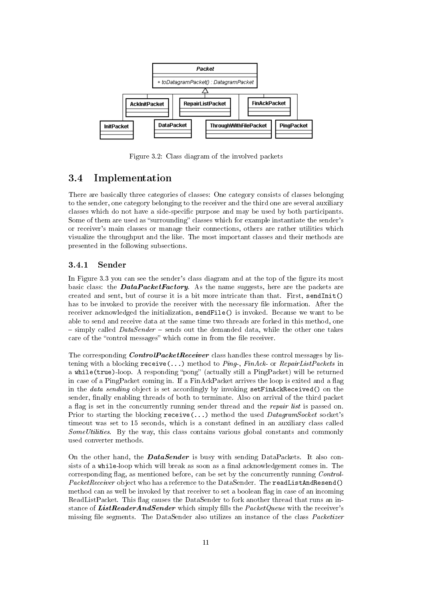

Figure 3.2: Class diagram of the involved packets

### 3.4 Implementation

There are basically three categories of classes: One category consists of classes belonging to the sender, one category belonging to the receiver and the third one are several auxiliary classes which do not have a side-specific purpose and may be used by both participants. Some of them are used as "surrounding" classes which for example instantiate the sender's or receiver's main classes or manage their connections, others are rather utilities which visualize the throughput and the like. The most important classes and their methods are presented in the following subsections.

#### 3.4.1 Sender

In Figure 3.3 you can see the sender's class diagram and at the top of the figure its most basic class: the **DataPacketFactory**. As the name suggests, here are the packets are created and sent, but of course it is a bit more intricate than that. First, sendInit() has to be invoked to provide the receiver with the necessary file information. After the receiver acknowledged the initialization, sendFile() is invoked. Because we want to be able to send and receive data at the same time two threads are forked in this method, one  $s =$  simply called *DataSender*  $-$  sends out the demanded data, while the other one takes care of the "control messages" which come in from the file receiver.

The corresponding *ControlPacketReceiver* class handles these control messages by listening with a blocking  $\text{receive}(\ldots)$  method to *Ping-, FinAck-* or *RepairListPackets* in a while(true)-loop. A responding "pong" (actually still a PingPacket) will be returned in case of a PingPacket coming in. If a FinAckPacket arrives the loop is exited and a flag in the *data sending* object is set accordingly by invoking  $setFinACKReceived()$  on the sender, finally enabling threads of both to terminate. Also on arrival of the third packet a flag is set in the concurrently running sender thread and the repair list is passed on. Prior to starting the blocking  $\text{receive}(\ldots)$  method the used  $Database$  socket's timeout was set to 15 seconds, which is a constant defined in an auxiliary class called  $SomeUtilities$ . By the way, this class contains various global constants and commonly used converter methods.

On the other hand, the **DataSender** is busy with sending DataPackets. It also consists of a while-loop which will break as soon as a final acknowledgement comes in. The corresponding flag, as mentioned before, can be set by the concurrently running  $Control$ PacketReceiver object who has a reference to the DataSender. The readListAndResend() method can as well be invoked by that receiver to set a boolean flag in case of an incoming ReadListPacket. This flag causes the DataSender to fork another thread that runs an instance of ListReaderAndSender which simply fills the PacketQueue with the receiver's missing file segments. The DataSender also utilizes an instance of the class *Packetizer*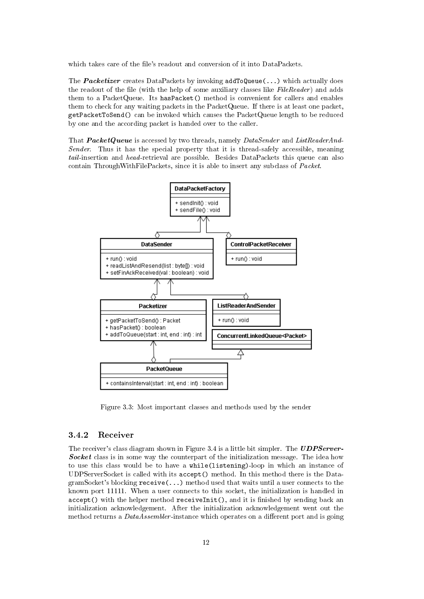which takes care of the file's readout and conversion of it into DataPackets.

The **Packetizer** creates DataPackets by invoking  $addToQueue(...)$  which actually does the readout of the file (with the help of some auxiliary classes like  $FileReader$ ) and adds them to a PacketQueue. Its hasPacket() method is convenient for callers and enables them to check for any waiting packets in the PacketQueue. If there is at least one packet, getPacketToSend() can be invoked which causes the PacketQueue length to be reduced by one and the according packet is handed over to the caller.

That **PacketQueue** is accessed by two threads, namely DataSender and ListReaderAnd-Sender. Thus it has the special property that it is thread-safely accessible, meaning tail-insertion and head-retrieval are possible. Besides DataPackets this queue can also contain ThroughWithFilePackets, since it is able to insert any subclass of Packet.



Figure 3.3: Most important classes and methods used by the sender

#### 3.4.2 Receiver

The receiver's class diagram shown in Figure 3.4 is a little bit simpler. The **UDPServer**-Socket class is in some way the counterpart of the initialization message. The idea how to use this class would be to have a while(listening)-loop in which an instance of UDPServerSocket is called with its accept() method. In this method there is the DatagramSocket's blocking  $\text{receive}(\ldots)$  method used that waits until a user connects to the known port 11111. When a user connects to this socket, the initialization is handled in  $accept()$  with the helper method receiveInit(), and it is finished by sending back an initialization acknowledgement. After the initialization acknowledgement went out the method returns a  $DataAsember$ -instance which operates on a different port and is going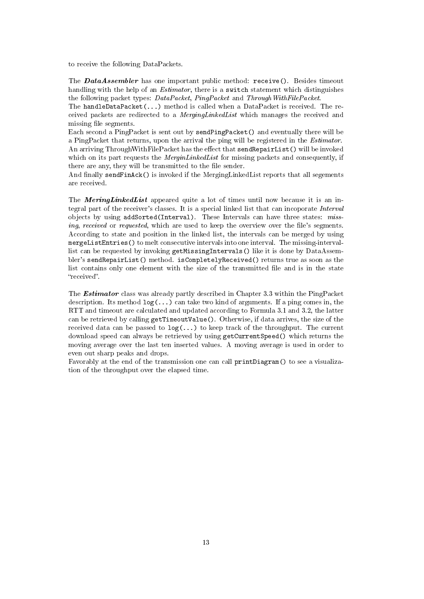to receive the following DataPackets.

The DataAssembler has one important public method: receive(). Besides timeout handling with the help of an *Estimator*, there is a switch statement which distinguishes the following packet types: DataPacket, PingPacket and ThroughWithFilePacket.

The handleDataPacket(...) method is called when a DataPacket is received. The received packets are redirected to a MergingLinkedList which manages the received and missing file segments.

Each second a PingPacket is sent out by sendPingPacket() and eventually there will be a PingPacket that returns, upon the arrival the ping will be registered in the Estimator. An arriving ThroughWithFilePacket has the effect that sendRepairList() will be invoked which on its part requests the *MerginLinkedList* for missing packets and consequently, if there are any, they will be transmitted to the file sender.

And finally sendFinAck() is invoked if the MergingLinkedList reports that all segements are received.

The **MeringLinkedList** appeared quite a lot of times until now because it is an integral part of the receiver's classes. It is a special linked list that can incoporate Interval objects by using addSorted(Interval). These Intervals can have three states: missing, received or requested, which are used to keep the overview over the file's segments. According to state and position in the linked list, the intervals can be merged by using mergeListEntries() to melt consecutive intervals into one interval. The missing-intervallist can be requested by invoking getMissingIntervals() like it is done by DataAssembler's sendRepairList() method. isCompletelyReceived() returns true as soon as the list contains only one element with the size of the transmitted file and is in the state "received".

The Estimator class was already partly described in Chapter 3.3 within the PingPacket description. Its method  $log(...)$  can take two kind of arguments. If a ping comes in, the RTT and timeout are calculated and updated according to Formula 3.1 and 3.2, the latter can be retrieved by calling getTimeoutValue(). Otherwise, if data arrives, the size of the received data can be passed to log(...) to keep track of the throughput. The current download speed can always be retrieved by using getCurrentSpeed() which returns the moving average over the last ten inserted values. A moving average is used in order to even out sharp peaks and drops.

Favorably at the end of the transmission one can call printDiagram() to see a visualization of the throughput over the elapsed time.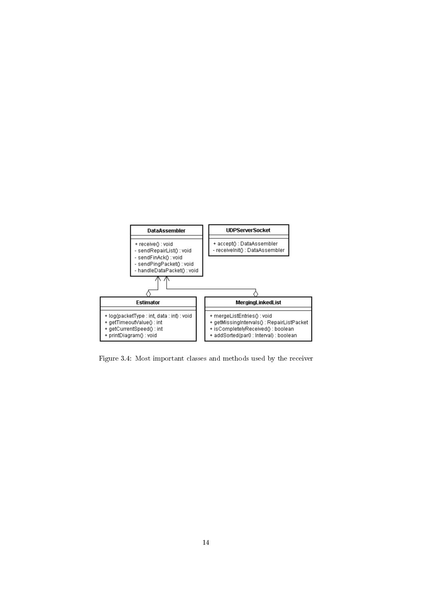

Figure 3.4: Most important classes and methods used by the receiver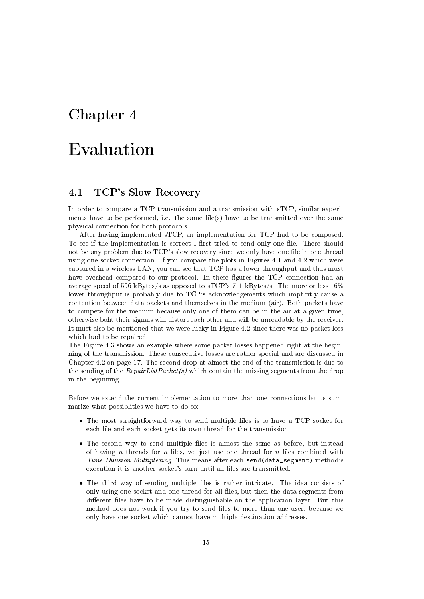# Evaluation

### 4.1 TCP's Slow Recovery

In order to compare a TCP transmission and a transmission with sTCP, similar experiments have to be performed, i.e. the same file(s) have to be transmitted over the same physical connection for both protocols.

After having implemented sTCP, an implementation for TCP had to be composed. To see if the implementation is correct I first tried to send only one file. There should not be any problem due to TCP's slow recovery since we only have one file in one thread using one socket connection. If you compare the plots in Figures 4.1 and 4.2 which were captured in a wireless LAN, you can see that TCP has a lower throughput and thus must have overhead compared to our protocol. In these figures the TCP connection had an average speed of 596 kBytes/s as opposed to sTCP's 711 kBytes/s. The more or less  $16\%$ lower throughput is probably due to TCP's acknowledgements which implicitly cause a contention between data packets and themselves in the medium (air). Both packets have to compete for the medium because only one of them can be in the air at a given time, otherwise boht their signals will distort each other and will be unreadable by the receiver. It must also be mentioned that we were lucky in Figure 4.2 since there was no packet loss which had to be repaired.

The Figure 4.3 shows an example where some packet losses happened right at the beginning of the transmission. These consecutive losses are rather special and are discussed in Chapter 4.2 on page 17. The second drop at almost the end of the transmission is due to the sending of the  $RepairListPacket(s)$  which contain the missing segments from the drop in the beginning.

Before we extend the current implementation to more than one connections let us summarize what possiblities we have to do so:

- The most straightforward way to send multiple files is to have a TCP socket for each file and each socket gets its own thread for the transmission.
- The second way to send multiple files is almost the same as before, but instead of having n threads for n files, we just use one thread for n files combined with Time Division Multiplexing. This means after each send (data\_segment) method's execution it is another socket's turn until all files are transmitted.
- The third way of sending multiple files is rather intricate. The idea consists of only using one socket and one thread for all files, but then the data segments from different files have to be made distinguishable on the application layer. But this method does not work if you try to send files to more than one user, because we only have one socket which cannot have multiple destination addresses.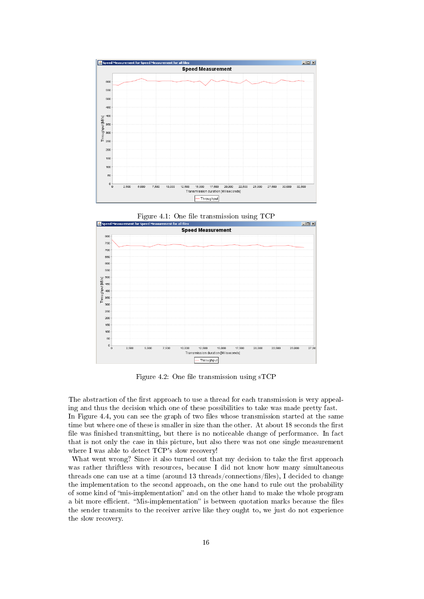





Figure 4.2: One file transmission using  $STCP$ 

The abstraction of the first approach to use a thread for each transmission is very appealing and thus the decision which one of these possibilities to take was made pretty fast. In Figure 4.4, you can see the graph of two files whose transmission started at the same time but where one of these is smaller in size than the other. At about 18 seconds the first file was finished transmitting, but there is no noticeable change of performance. In fact that is not only the case in this picture, but also there was not one single measurement where I was able to detect TCP's slow recovery!

What went wrong? Since it also turned out that my decision to take the first approach was rather thriftless with resources, because I did not know how many simultaneous threads one can use at a time (around 13 threads/connections/files), I decided to change the implementation to the second approach, on the one hand to rule out the probability of some kind of "mis-implementation" and on the other hand to make the whole program a bit more efficient. "Mis-implementation" is between quotation marks because the files the sender transmits to the receiver arrive like they ought to, we just do not experience the slow recovery.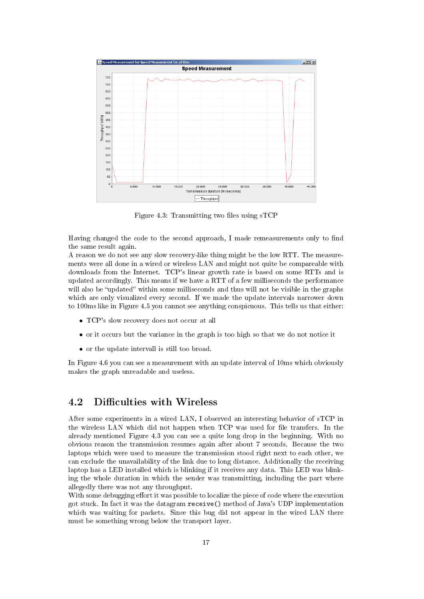

Figure 4.3: Transmitting two files using  $\sigma$ TCP

Having changed the code to the second approach, I made remeasurements only to find the same result again.

A reason we do not see any slow recovery-like thing might be the low RTT. The measurements were all done in a wired or wireless LAN and might not quite be compareable with downloads from the Internet. TCP's linear growth rate is based on some RTTs and is updated accordingly. This means if we have a RTT of a few milliseconds the performance will also be "updated" within some milliseconds and thus will not be visible in the graphs which are only visualized every second. If we made the update intervals narrower down to 100ms like in Figure 4.5 you cannot see anything conspicuous. This tells us that either:

- TCP's slow recovery does not occur at all
- or it occurs but the variance in the graph is too high so that we do not notice it
- or the update intervall is still too broad.

In Figure 4.6 you can see a measurement with an update interval of 10ms which obviously makes the graph unreadable and useless.

## 4.2 Difficulties with Wireless

After some experiments in a wired LAN, I observed an interesting behavior of sTCP in the wireless LAN which did not happen when TCP was used for file transfers. In the already mentioned Figure 4.3 you can see a quite long drop in the beginning. With no obvious reason the transmission resumes again after about 7 seconds. Because the two laptops which were used to measure the transmission stood right next to each other, we can exclude the unavailability of the link due to long distance. Additionally the receiving laptop has a LED installed which is blinking if it receives any data. This LED was blinking the whole duration in which the sender was transmitting, including the part where allegedly there was not any throughput.

With some debugging effort it was possible to localize the piece of code where the execution got stuck. In fact it was the datagram receive() method of Java's UDP implementation which was waiting for packets. Since this bug did not appear in the wired LAN there must be something wrong below the transport layer.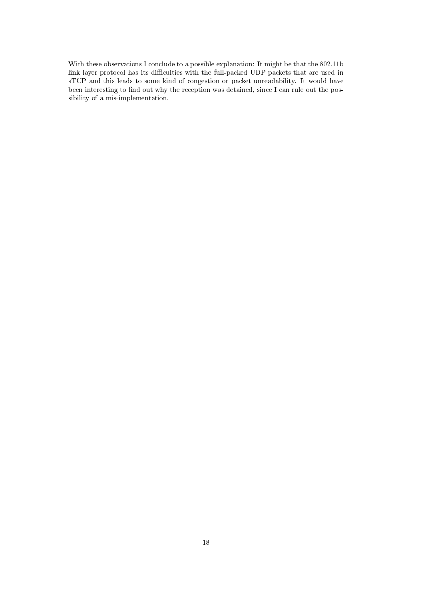With these observations I conclude to a possible explanation: It might be that the 802.11b link layer protocol has its difficulties with the full-packed UDP packets that are used in sTCP and this leads to some kind of congestion or packet unreadability. It would have been interesting to find out why the reception was detained, since I can rule out the possibility of a mis-implementation.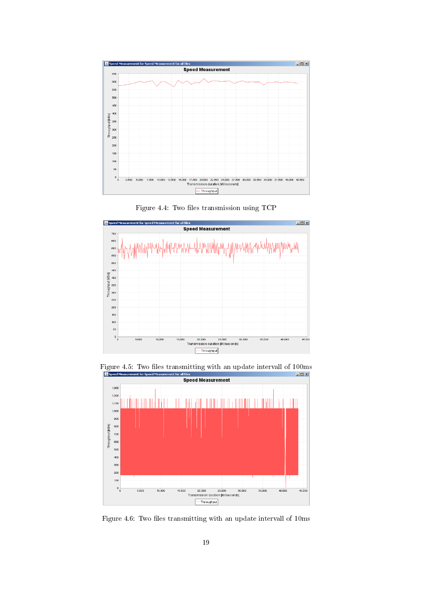

Figure 4.4: Two files transmission using  $TCP$ 



Figure 4.5: Two files transmitting with an update intervall of 100ms<br>Especial Measurement for speed Measurement for all files



Figure 4.6: Two files transmitting with an update intervall of 10ms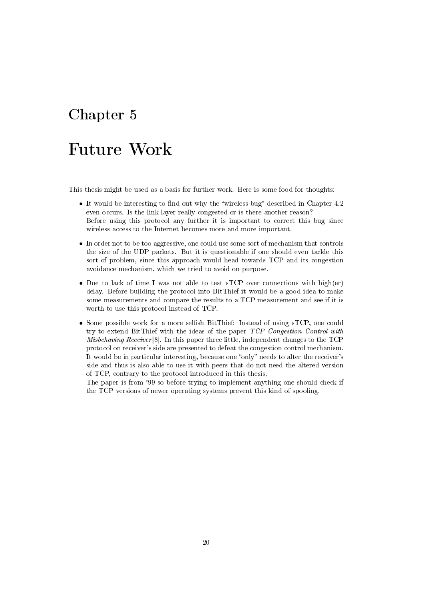# Future Work

This thesis might be used as a basis for further work. Here is some food for thoughts:

- It would be interesting to find out why the "wireless bug" described in Chapter  $4.2$ even occurs. Is the link layer really congested or is there another reason? Before using this protocol any further it is important to correct this bug since wireless access to the Internet becomes more and more important.
- In order not to be too aggressive, one could use some sort of mechanism that controls the size of the UDP packets. But it is questionable if one should even tackle this sort of problem, since this approach would head towards TCP and its congestion avoidance mechanism, which we tried to avoid on purpose.
- Due to lack of time I was not able to test sTCP over connections with high(er) delay. Before building the protocol into BitThief it would be a good idea to make some measurements and compare the results to a TCP measurement and see if it is worth to use this protocol instead of TCP.
- Some possible work for a more selfish BitThief: Instead of using sTCP, one could try to extend BitThief with the ideas of the paper TCP Congestion Control with *Misbehaving Receiver* [8]. In this paper three little, independent changes to the  $TCP$ protocol on receiver's side are presented to defeat the congestion control mechanism. It would be in particular interesting, because one "only" needs to alter the receiver's side and thus is also able to use it with peers that do not need the altered version of TCP, contrary to the protocol introduced in this thesis.

The paper is from '99 so before trying to implement anything one should check if the TCP versions of newer operating systems prevent this kind of spoofing.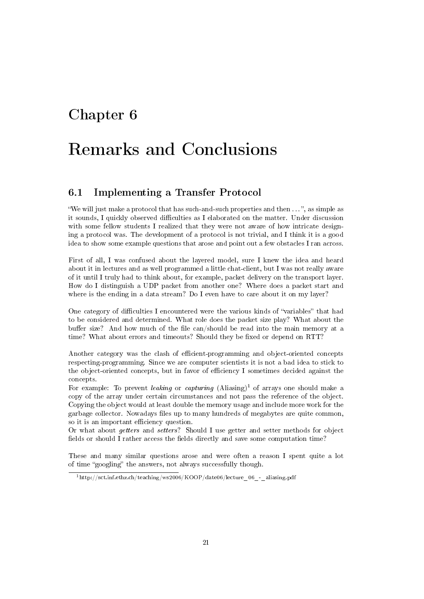# Remarks and Conclusions

### 6.1 Implementing a Transfer Protocol

"We will just make a protocol that has such-and-such properties and then  $\dots$ ", as simple as it sounds, I quickly observed difficulties as I elaborated on the matter. Under discussion with some fellow students I realized that they were not aware of how intricate designing a protocol was. The development of a protocol is not trivial, and I think it is a good idea to show some example questions that arose and point out a few obstacles I ran across.

First of all, I was confused about the layered model, sure I knew the idea and heard about it in lectures and as well programmed a little chat-client, but I was not really aware of it until I truly had to think about, for example, packet delivery on the transport layer. How do I distinguish a UDP packet from another one? Where does a packet start and where is the ending in a data stream? Do I even have to care about it on my layer?

One category of difficulties I encountered were the various kinds of "variables" that had to be considered and determined. What role does the packet size play? What about the buffer size? And how much of the file can/should be read into the main memory at a time? What about errors and timeouts? Should they be fixed or depend on RTT?

Another category was the clash of efficient-programming and object-oriented concepts respecting-programming. Since we are computer scientists it is not a bad idea to stick to the object-oriented concepts, but in favor of efficiency I sometimes decided against the concepts.

For example: To prevent *leaking* or *capturing*  $(Aliasing)^1$  of arrays one should make a copy of the array under certain circumstances and not pass the reference of the object. Copying the object would at least double the memory usage and include more work for the garbage collector. Nowadays les up to many hundreds of megabytes are quite common, so it is an important efficiency question.

Or what about getters and setters? Should I use getter and setter methods for object fields or should I rather access the fields directly and save some computation time?

These and many similar questions arose and were often a reason I spent quite a lot of time "googling" the answers, not always successfully though.

 $1$ http://sct.inf.ethz.ch/teaching/ws2006/KOOP/date06/lecture 06 - aliasing.pdf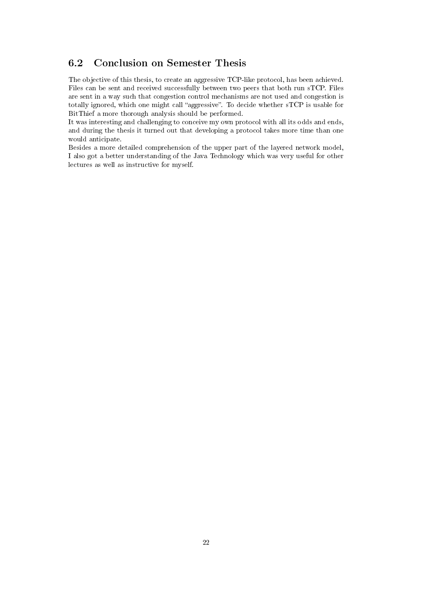## 6.2 Conclusion on Semester Thesis

The objective of this thesis, to create an aggressive TCP-like protocol, has been achieved. Files can be sent and received successfully between two peers that both run sTCP. Files are sent in a way such that congestion control mechanisms are not used and congestion is totally ignored, which one might call "aggressive". To decide whether sTCP is usable for BitThief a more thorough analysis should be performed.

It was interesting and challenging to conceive my own protocol with all its odds and ends, and during the thesis it turned out that developing a protocol takes more time than one would anticipate.

Besides a more detailed comprehension of the upper part of the layered network model, I also got a better understanding of the Java Technology which was very useful for other lectures as well as instructive for myself.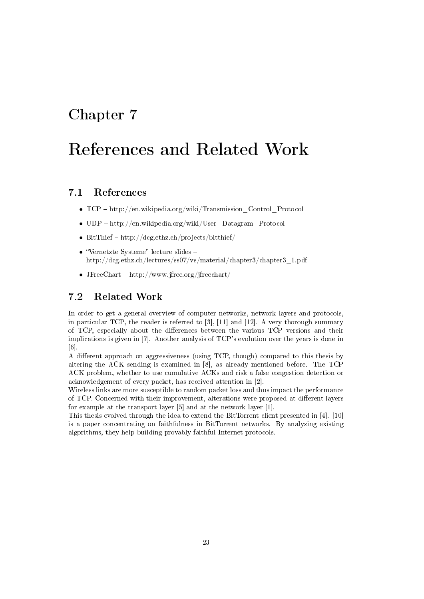# References and Related Work

### 7.1 References

- TCP http://en.wikipedia.org/wiki/Transmission Control Protocol
- $UDP http://en.wikipedia.org/wiki/User-Datagram-Protocol$
- BitThief  $-\hbox{http://deg.ethz.ch/projects/bitthief/}$
- "Vernetzte Systeme" lecture slides  $$ http://dcg.ethz.ch/lectures/ss07/vs/material/chapter3/chapter3\_1.pdf
- J $FreeChart http://www.jfree.org/jfreechart/$

### 7.2 Related Work

In order to get a general overview of computer networks, network layers and protocols, in particular TCP, the reader is referred to [3], [11] and [12]. A very thorough summary of TCP, especially about the differences between the various TCP versions and their implications is given in [7]. Another analysis of TCP's evolution over the years is done in [6].

A different approach on aggressiveness (using TCP, though) compared to this thesis by altering the ACK sending is examined in [8], as already mentioned before. The TCP ACK problem, whether to use cumulative ACKs and risk a false congestion detection or acknowledgement of every packet, has received attention in [2].

Wireless links are more susceptible to random packet loss and thus impact the performance of TCP. Concerned with their improvement, alterations were proposed at different layers for example at the transport layer [5] and at the network layer [1].

This thesis evolved through the idea to extend the BitTorrent client presented in [4]. [10] is a paper concentrating on faithfulness in BitTorrent networks. By analyzing existing algorithms, they help building provably faithful Internet protocols.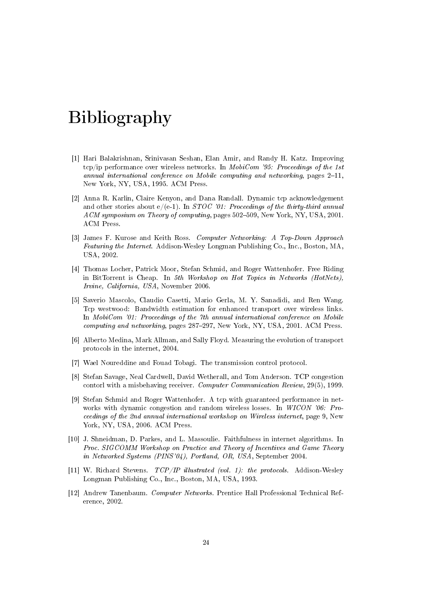# Bibliography

- [1] Hari Balakrishnan, Srinivasan Seshan, Elan Amir, and Randy H. Katz. Improving tcp/ip performance over wireless networks. In *MobiCom '95: Proceedings of the 1st* annual international conference on Mobile computing and networking, pages  $2-11$ , New York, NY, USA, 1995. ACM Press.
- [2] Anna R. Karlin, Claire Kenyon, and Dana Randall. Dynamic tcp acknowledgement and other stories about  $e/(e-1)$ . In *STOC '01: Proceedings of the thirty-third annual* ACM symposium on Theory of computing, pages 502-509, New York, NY, USA, 2001. ACM Press.
- [3] James F. Kurose and Keith Ross. Computer Networking: A Top-Down Approach Featuring the Internet. Addison-Wesley Longman Publishing Co., Inc., Boston, MA, USA, 2002.
- [4] Thomas Locher, Patrick Moor, Stefan Schmid, and Roger Wattenhofer. Free Riding in BitTorrent is Cheap. In 5th Workshop on Hot Topics in Networks (HotNets), Irvine, California, USA, November 2006.
- [5] Saverio Mascolo, Claudio Casetti, Mario Gerla, M. Y. Sanadidi, and Ren Wang. Tcp westwood: Bandwidth estimation for enhanced transport over wireless links. In MobiCom '01: Proceedings of the 7th annual international conference on Mobile computing and networking, pages 287-297, New York, NY, USA, 2001. ACM Press.
- [6] Alberto Medina, Mark Allman, and Sally Floyd. Measuring the evolution of transport protocols in the internet, 2004.
- [7] Wael Noureddine and Fouad Tobagi. The transmission control protocol.
- [8] Stefan Savage, Neal Cardwell, David Wetherall, and Tom Anderson. TCP congestion contorl with a misbehaving receiver. Computer Communication Review, 29(5), 1999.
- [9] Stefan Schmid and Roger Wattenhofer. A tcp with guaranteed performance in networks with dynamic congestion and random wireless losses. In WICON '06: Proceedings of the 2nd annual international workshop on Wireless internet, page 9, New York, NY, USA, 2006. ACM Press.
- [10] J. Shneidman, D. Parkes, and L. Massoulie. Faithfulness in internet algorithms. In Proc. SIGCOMM Workshop on Practice and Theory of Incentives and Game Theory in Networked Systems (PINS'04), Portland, OR, USA, September 2004.
- [11] W. Richard Stevens. TCP/IP illustrated (vol. 1): the protocols. Addison-Wesley Longman Publishing Co., Inc., Boston, MA, USA, 1993.
- [12] Andrew Tanenbaum. Computer Networks. Prentice Hall Professional Technical Reference, 2002.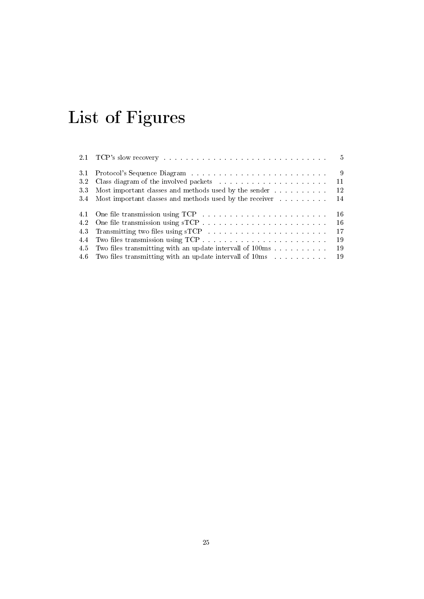# List of Figures

|     |                                                                                                                                                                                                                                | $5^{\circ}$ |
|-----|--------------------------------------------------------------------------------------------------------------------------------------------------------------------------------------------------------------------------------|-------------|
| 3.1 | Protocol's Sequence Diagram                                                                                                                                                                                                    | 9           |
| 3.2 |                                                                                                                                                                                                                                | 11          |
| 33  | Most important classes and methods used by the sender                                                                                                                                                                          | 12          |
| 3.4 | Most important classes and methods used by the receiver                                                                                                                                                                        | -14         |
|     |                                                                                                                                                                                                                                | -16         |
| 4.2 | One file transmission using sTCP.                                                                                                                                                                                              | -16         |
| 43  | Transmitting two files using sTCP and a series are also asset as a series of the series of the series of the series of the series of the series of the series of the series of the series of the series of the series of the s | 17          |
| 4.4 |                                                                                                                                                                                                                                | 19          |
| 45  | Two files transmitting with an update intervall of 100ms                                                                                                                                                                       | 19          |
|     | 4.6 Two files transmitting with an update intervall of 10ms                                                                                                                                                                    | -19         |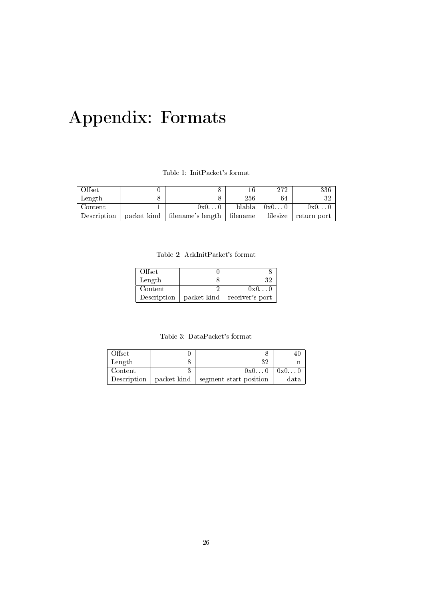# Appendix: Formats

Table 1: InitPacket's format

| Offset      |                                 | 16       | 272      | 336         |
|-------------|---------------------------------|----------|----------|-------------|
| Length      |                                 | 256      | 64       | 32          |
| Content     | 0x00                            | blabla   | 0x00     | 0x00        |
| Description | packet kind   filename's length | filename | filesize | return port |

Table 2: AckInitPacket's format

| Offset      |             |                 |
|-------------|-------------|-----------------|
| Length      |             | 32              |
| Content     |             | 0x00            |
| Description | packet kind | receiver's port |

Table 3: DataPacket's format

| Offset      |             |                        |      |
|-------------|-------------|------------------------|------|
| Length      |             |                        |      |
| Content     |             | 0x00                   | 0x00 |
| Description | packet kind | segment start position | data |